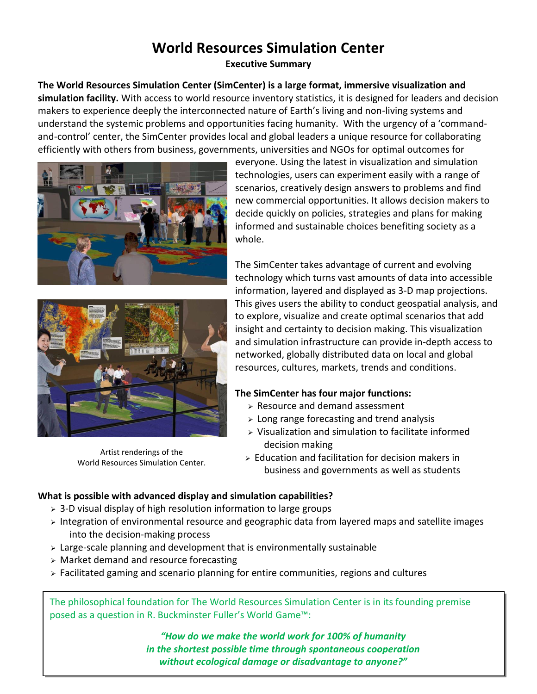# **World Resources Simulation Center**

**Executive Summary**

**The World Resources Simulation Center (SimCenter) is a large format, immersive visualization and simulation facility.** With access to world resource inventory statistics, it is designed for leaders and decision makers to experience deeply the interconnected nature of Earth's living and non-living systems and understand the systemic problems and opportunities facing humanity. With the urgency of a 'commandand-control' center, the SimCenter provides local and global leaders a unique resource for collaborating efficiently with others from business, governments, universities and NGOs for optimal outcomes for





Artist renderings of the World Resources Simulation Center.

everyone. Using the latest in visualization and simulation technologies, users can experiment easily with a range of scenarios, creatively design answers to problems and find new commercial opportunities. It allows decision makers to decide quickly on policies, strategies and plans for making informed and sustainable choices benefiting society as a whole.

The SimCenter takes advantage of current and evolving technology which turns vast amounts of data into accessible information, layered and displayed as 3-D map projections. This gives users the ability to conduct geospatial analysis, and to explore, visualize and create optimal scenarios that add insight and certainty to decision making. This visualization and simulation infrastructure can provide in-depth access to networked, globally distributed data on local and global resources, cultures, markets, trends and conditions.

## **The SimCenter has four major functions:**

- $\triangleright$  Resource and demand assessment
- $\geq$  Long range forecasting and trend analysis
- $\triangleright$  Visualization and simulation to facilitate informed decision making
- $\geq$  Education and facilitation for decision makers in business and governments as well as students

## **What is possible with advanced display and simulation capabilities?**

- $>$  3-D visual display of high resolution information to large groups
- $\triangleright$  Integration of environmental resource and geographic data from layered maps and satellite images into the decision-making process
- $\geq$  Large-scale planning and development that is environmentally sustainable
- $\triangleright$  Market demand and resource forecasting
- Facilitated gaming and scenario planning for entire communities, regions and cultures

The philosophical foundation for The World Resources Simulation Center is in its founding premise posed as a question in R. Buckminster Fuller's World Game™:

> *"How do we make the world work for 100% of humanity in the shortest possible time through spontaneous cooperation without ecological damage or disadvantage to anyone?"*